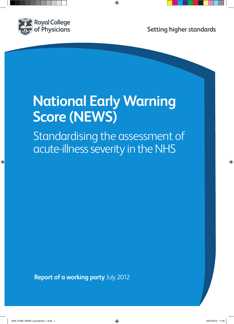

# **National Early Warning Score (NEWS)**

Standardising the assessment of acute-illness severity in the NHS

**Report of a working party** July 2012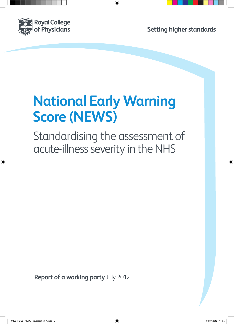

# **National Early Warning Score (NEWS)**

Standardising the assessment of acute-illness severity in the NHS

**Report of a working party** July 2012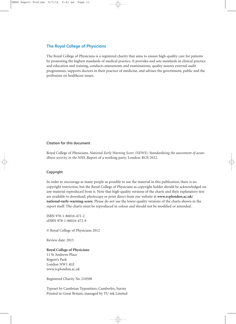### **The Royal College of Physicians**

The Royal College of Physicians is a registered charity that aims to ensure high-quality care for patients by promoting the highest standards of medical practice. It provides and sets standards in clinical practice and education and training, conducts assessments and examinations, quality assures external audit programmes, supports doctors in their practice of medicine, and advises the government, public and the profession on healthcare issues.

#### **Citation for this document**

Royal College of Physicians. *National Early Warning Score (NEWS): Standardising the assessment of acuteillness severity in the NHS*. Report of a working party. London: RCP, 2012.

#### **Copyright**

In order to encourage as many people as possible to use the material in this publication, there is no copyright restriction, but the Royal College of Physicians as copyright holder should be acknowledged on any material reproduced from it. Note that high-quality versions of the charts and their explanatory text are available to download, photocopy or print direct from our website at **[www.rcplondon.ac.uk/](www.rcplondon.ac.uk/national-early-warning-score) [national-early-warning-score](www.rcplondon.ac.uk/national-early-warning-score)**. Please do not use the lower-quality versions of the charts shown in the report itself. The charts must be reproduced in colour and should not be modified or amended.

ISBN 978-1-86016-471-2 eISBN 978-1-86016-472-9

© Royal College of Physicians 2012

Review date: 2015

#### **Royal College of Physicians**

11 St Andrews Place Regent's Park London NW1 4LE www.rcplondon.ac.uk

Registered Charity No 210508

Typeset by Cambrian Typesetters, Camberley, Surrey Printed in Great Britain, managed by TU ink Limited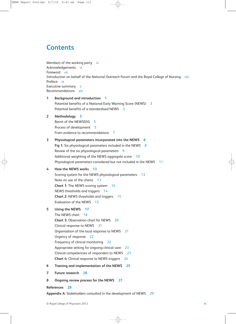# **Contents**

```
Members of the working party iv
Acknowledgements vi
Foreword vii
Introduction on behalf of the National Outreach Forum and the Royal College of Nursing viii
Preface ix
Executive summary x
Recommendations xiii
1 Background and introduction 1
```
Potential benefits of a National Early Warning Score (NEWS) 3 Potential benefits of a standardised NEWS 3 **[2 Methodology](#page-21-0) 5** Remit of the NEWSDIG 5 Process of development 5 From evidence to recommendations 7 **3 [Physiological parameters incorporated into the NEWS](#page-24-0) 8 Fig 1:** Six physiological parameters included in the NEWS 8 Review of the six physiological parameters 9 Additional weighting of the NEWS aggregate score 10 Physiological parameters considered but not included in the NEWS 11 **[4 How the NEWS works](#page-29-0) 13** Scoring system for the NEWS physiological parameters 13 Note on use of the charts 13 **Chart 1:** [The NEWS scoring system](#page-30-0) 14 NEWS thresholds and triggers 14 **Chart 2:** [NEWS thresholds and triggers](#page-31-0) 15 Evaluation of the NEWS 15 **[5 Using the NEWS](#page-33-0) 17** The NEWS chart 18 **Chart 3:** [Observation chart for NEWS](#page-36-0) 20 Clinical response to NEWS 21 Organisation of the local response to NEWS 21 Urgency of response 22 Frequency of clinical monitoring 22 Appropriate setting for ongoing clinical care 23 Clinical competencies of responders to NEWS 23 **Chart 4:** [Clinical response to NEWS triggers](#page-40-0) 24 **[6 Training and implementation of the NEWS](#page-41-0) 25 [7 Future research](#page-42-0) 26 8 [Ongoing review process for the NEWS](#page-43-0) 27**

#### **[References](#page-44-0) 28**

**Appendix A:** [Stakeholders consulted in the development of NEWS](#page-45-0) 29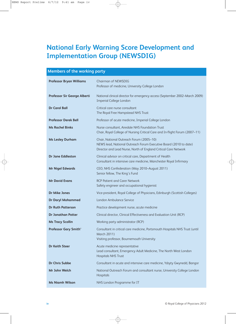# <span id="page-4-0"></span>**National Early Warning Score Development and Implementation Group (NEWSDIG)**

# **Members of the working party Professor Bryan Williams** Chairman of NEWSDIG Professor of medicine, University College London **Professor Sir George Alberti** National clinical director for emergency access (September 2002–March 2009) Imperial College London **Dr Carol Ball** Critical care nurse consultant The Royal Free Hampstead NHS Trust **Professor Derek Bell** Professor of acute medicine, Imperial College London **Ms Rachel Binks** Nurse consultant, Airedale NHS Foundation Trust Chair, Royal College of Nursing Critical Care and In-flight Forum (2007–11) **Ms Lesley Durham** Chair, National Outreach Forum (2005–10) NEWS lead, National Outreach Forum Executive Board (2010 to date) Director and Lead Nurse, North of England Critical Care Network **Dr Jane Eddleston** Clinical advisor on critical care, Department of Health Consultant in intensive care medicine, Manchester Royal Infirmary **Mr Nigel Edwards** CEO, NHS Confederation (May 2010–August 2011) Senior fellow, The King's Fund **Mr David Evans** RCP Patient and Carer Network Safety engineer and occupational hygienist **Dr Mike Jones** Vice-president, Royal College of Physicians, Edinburgh (Scottish Colleges) **Dr Daryl Mohammed** London Ambulance Service **Dr Ruth Patterson** Practice development nurse, acute medicine **Dr Jonathan Potter** Clinical director, Clinical Effectiveness and Evaluation Unit (RCP) **Ms Tracy Scollin** Working party administrator (RCP) **Professor Gary Smith**\* Consultant in critical care medicine, Portsmouth Hospitals NHS Trust (until March 2011) Visiting professor, Bournemouth University **Dr Keith Steer Acute medicine representative** Lead consultant, Emergency Adult Medicine, The North West London Hospitals NHS Trust **Dr Chris Subbe** Consultant in acute and intensive care medicine, Ysbyty Gwynedd, Bangor **Mr John Welch** National Outreach Forum and consultant nurse, University College London Hospitals **Ms Niamh Wilson** NHS London Programme for IT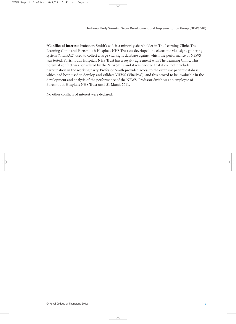\***Conflict of interest**: Professors Smith's wife is a minority shareholder in The Learning Clinic. The Learning Clinic and Portsmouth Hospitals NHS Trust co-developed the electronic vital signs gathering system (VitalPAC) used to collect a large vital signs database against which the performance of NEWS was tested. Portsmouth Hospitals NHS Trust has a royalty agreement with The Learning Clinic. This potential conflict was considered by the NEWSDIG and it was decided that it did not preclude participation in the working party. Professor Smith provided access to the extensive patient database which had been used to develop and validate ViEWS (VitalPAC), and this proved to be invaluable in the development and analysis of the performance of the NEWS. Professor Smith was an employee of Portsmouth Hospitals NHS Trust until 31 March 2011.

No other conflicts of interest were declared.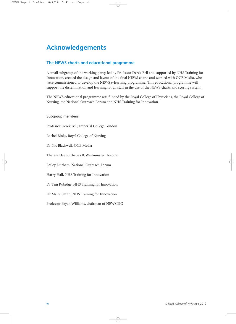# **Acknowledgements**

# **The NEWS charts and educational programme**

A small subgroup of the working party, led by Professor Derek Bell and supported by NHS Training for Innovation, created the design and layout of the final NEWS charts and worked with OCB Media, who were commissioned to develop the NEWS e-learning programme. This educational programme will support the dissemination and learning for all staff in the use of the NEWS charts and scoring system.

The NEWS educational programme was funded by the Royal College of Physicians, the Royal College of Nursing, the National Outreach Forum and NHS Training for Innovation.

#### **Subgroup members**

Professor Derek Bell, Imperial College London Rachel Binks, Royal College of Nursing Dr Nic Blackwell, OCB Media Therese Davis, Chelsea & Westminster Hospital Lesley Durham, National Outreach Forum Harry Hall, NHS Training for Innovation Dr Tim Rubidge, NHS Training for Innovation Dr Maire Smith, NHS Training for Innovation Professor Bryan Williams, chairman of NEWSDIG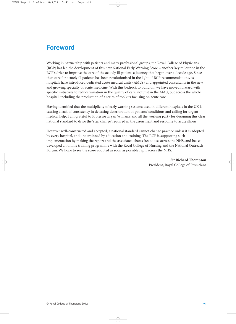# <span id="page-7-0"></span>**Foreword**

Working in partnership with patients and many professional groups, the Royal College of Physicians (RCP) has led the development of this new National Early Warning Score – another key milestone in the RCP's drive to improve the care of the acutely ill patient, a journey that began over a decade ago. Since then care for acutely ill patients has been revolutionised in the light of RCP recommendations, as hospitals have introduced dedicated acute medical units (AMUs) and appointed consultants in the new and growing specialty of acute medicine. With this bedrock to build on, we have moved forward with specific initiatives to reduce variation in the quality of care, not just in the AMU, but across the whole hospital, including the production of a series of toolkits focusing on acute care.

Having identified that the multiplicity of early warning systems used in different hospitals in the UK is causing a lack of consistency in detecting deterioration of patients' conditions and calling for urgent medical help, I am grateful to Professor Bryan Williams and all the working party for designing this clear national standard to drive the 'step change' required in the assessment and response to acute illness.

However well-constructed and accepted, a national standard cannot change practice unless it is adopted by every hospital, and underpinned by education and training. The RCP is supporting such implementation by making the report and the associated charts free to use across the NHS, and has codeveloped an online training programme with the Royal College of Nursing and the National Outreach Forum. We hope to see the score adopted as soon as possible right across the NHS.

> **Sir Richard Thompson** President, Royal College of Physicians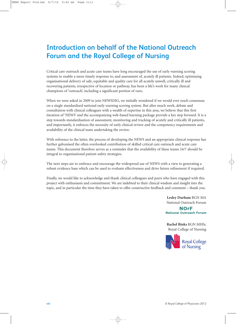# **Introduction on behalf of the National Outreach Forum and the Royal College of Nursing**

Critical care outreach and acute care teams have long encouraged the use of early warning scoring systems to enable a more timely response to, and assessment of, acutely ill patients. Indeed, optimising organisational delivery of safe, equitable and quality care for all acutely unwell, critically ill and recovering patients, irrespective of location or pathway, has been a life's work for many clinical champions of 'outreach', including a significant portion of ours.

When we were asked in 2009 to join NEWSDIG, we initially wondered if we would ever reach consensus on a single standardised national early warning scoring system. But after much work, debate and consultation with clinical colleagues with a wealth of expertise in this area, we believe that this first iteration of 'NEWS' and the accompanying web-based learning package provide a key step forward. It is a step towards standardisation of assessment, monitoring and tracking of acutely and critically ill patients, and importantly, it enforces the necessity of early clinical review and the competency requirements and availability of the clinical team undertaking the review.

With reference to the latter, the process of developing the NEWS and an appropriate clinical response has further galvanised the often overlooked contribution of skilled critical care outreach and acute care teams. This document therefore serves as a reminder that the availability of these teams 24/7 should be integral to organisational patient-safety strategies.

The next steps are to embrace and encourage the widespread use of NEWS with a view to generating a robust evidence base which can be used to evaluate effectiveness and drive future refinement if required.

Finally, we would like to acknowledge and thank clinical colleagues and peers who have engaged with this project with enthusiasm and commitment. We are indebted to their clinical wisdom and insight into the topic, and in particular the time they have taken to offer constructive feedback and comment – thank you.

> **Lesley Durham** RGN MA National Outreach Forum

**NOrF National Outreach Forum** 

**Rachel Binks** RGN MHSc Royal College of Nursing

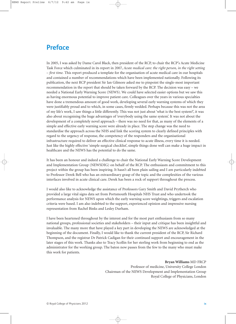# **Preface**

In 2005, I was asked by Dame Carol Black, then president of the RCP, to chair the RCP's Acute Medicine Task Force which culminated in its report in 2007, *Acute medical care: the right person, in the right setting – first time.* This report produced a template for the organisation of acute medical care in our hospitals and contained a number of recommendations which have been implemented nationally. Following its publication, the next RCP president Sir Ian Gilmore asked me to pinpoint the single-most important recommendation in the report that should be taken forward by the RCP. The decision was easy – we needed a National Early Warning Score (NEWS). We could have selected easier options but we saw this as having enormous potential to improve patient care. Colleagues over the years in various specialties have done a tremendous amount of good work, developing several early warning systems of which they were justifiably proud and to which, in some cases, firmly wedded. Perhaps because this was not the area of my life's work, I saw things a little differently. This was not just about 'what is the best system?', it was also about recognising the huge advantages of 'everybody using the same system'. It was not about the development of a completely novel approach – there was no need for that, as many of the elements of a simple and effective early warning score were already in place. The step change was the need to standardise the approach across the NHS and link the scoring system to clearly defined principles with regard to the urgency of response, the competency of the responders and the organisational infrastructure required to deliver an effective clinical response to acute illness, every time it is needed. Just like the highly effective 'simple surgical checklist', simple things done well can make a huge impact in healthcare and the NEWS has the potential to do the same.

It has been an honour and indeed a challenge to chair the National Early Warning Score Development and Implementation Group (NEWSDIG) on behalf of the RCP. The enthusiasm and commitment to this project within the group has been inspiring. It hasn't all been plain sailing and I am particularly indebted to Professor Derek Bell who has an extraordinary grasp of the topic and the complexities of the various interfaces involved in acute clinical care. Derek has been a rock of support throughout the process.

I would also like to acknowledge the assistance of Professors Gary Smith and David Prytherch who provided a large vital signs data set from Portsmouth Hospitals NHS Trust and who undertook the performance analysis for NEWS upon which the early warning score weightings, triggers and escalation criteria were based. I am also indebted to the support, experienced opinion and impressive nursing representation from Rachel Binks and Lesley Durham.

I have been heartened throughout by the interest and for the most part enthusiasm from so many national groups, professional societies and stakeholders – their input and critique has been insightful and invaluable. The many more that have played a key part in developing the NEWS are acknowledged at the beginning of the document. Finally, I would like to thank the current president of the RCP, Sir Richard Thompson, and the registrar Dr Patrick Cadigan for their continued support and encouragement in the later stages of this work. Thanks also to Tracy Scollin for her sterling work from beginning to end as the administrator for the working group. The baton now passes from the few to the many who must make this work for patients.

#### **Bryan Williams** MD FRCP

Professor of medicine, University College London Chairman of the NEWS Development and Implementation Group Royal College of Physicians, London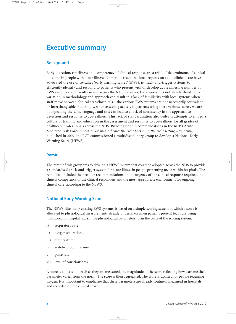# <span id="page-10-0"></span>**Executive summary**

### **Background**

Early detection, timeliness and competency of clinical response are a triad of determinants of clinical outcome in people with acute illness. Numerous recent national reports on acute clinical care have advocated the use of so-called 'early warning scores' (EWS), ie 'track-and-trigger systems' to efficiently identify and respond to patients who present with or develop acute illness. A number of EWS systems are currently in use across the NHS, however, the approach is not standardised. This variation in methodology and approach can result in a lack of familiarity with local systems when staff move between clinical areas/hospitals – the various EWS systems are not necessarily equivalent or interchangeable. Put simply, when assessing acutely ill patients using these various scores, we are not speaking the same language and this can lead to a lack of consistency in the approach to detection and response to acute illness. This lack of standardisation also bedevils attempts to embed a culture of training and education in the assessment and response to acute illness for all grades of healthcare professionals across the NHS. Building upon recommendations in the RCP's Acute Medicine Task Force report *Acute medical care: the right person, in the right setting – first time*, published in 2007, the RCP commissioned a multidisciplinary group to develop a National Early Warning Score (NEWS).

#### **Remit**

The remit of this group was to develop a NEWS system that could be adopted across the NHS to provide a standardised track-and-trigger system for acute illness in people presenting to, or within hospitals. The remit also included the need for recommendations on the urgency of the clinical response required, the clinical competency of the clinical responders and the most appropriate environment for ongoing clinical care, according to the NEWS.

#### **National Early Warning Score**

The NEWS, like many existing EWS systems, is based on a simple scoring system in which a score is allocated to physiological measurements already undertaken when patients present to, or are being monitored in hospital. Six simple physiological parameters form the basis of the scoring system:

- i) respiratory rate
- ii) oxygen saturations
- iii) temperature
- iv) systolic blood pressure
- v) pulse rate
- vi) level of consciousness.

A score is allocated to each as they are measured, the magnitude of the score reflecting how extreme the parameter varies from the norm. The score is then aggregated. The score is uplifted for people requiring oxygen. It is important to emphasise that these parameters are already routinely measured in hospitals and recorded on the clinical chart.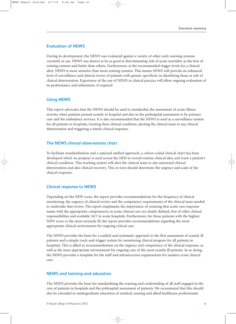#### **Evaluation of NEWS**

During its development, the NEWS was evaluated against a variety of other early warning systems currently in use. NEWS was shown to be as good at discriminating risk of acute mortality as the best of existing systems and better than others. Furthermore, at the recommended trigger levels for a clinical alert, NEWS is more sensitive than most existing systems. This means NEWS will provide an enhanced level of surveillance and clinical review of patients with greater specificity in identifying those at risk of clinical deterioration. Experience of the use of NEWS in clinical practice will allow ongoing evaluation of its performance and refinement, if required.

# **Using NEWS**

This report advocates that the NEWS should be used to standardise the assessment of acute-illness severity when patients present acutely to hospital and also in the prehospital assessment ie by primary care and the ambulance services. It is also recommended that the NEWS is used as a surveillance system for all patients in hospitals, tracking their clinical condition, alerting the clinical team to any clinical deterioration and triggering a timely clinical response.

### **The NEWS clinical observations chart**

To facilitate standardisation and a national unified approach, a colour-coded clinical chart has been developed which we propose is used across the NHS to record routine clinical data and track a patient's clinical condition. This tracking system will alert the clinical team to any untoward clinical deterioration and also clinical recovery. This in turn should determine the urgency and scale of the clinical response.

# **Clinical response to NEWS**

Depending on the NEW score, the report provides recommendations for the frequency of clinical monitoring, the urgency of clinical review and the competency requirements of the clinical team needed to undertake that review. The report emphasises the importance of ensuring that acute care response teams with the appropriate competencies in acute clinical care are clearly defined, free of other clinical responsibilities and available 24/7 in acute hospitals. Furthermore, for those patients with the highest NEW score, ie the most seriously ill, the report provides recommendations regarding the most appropriate clinical environment for ongoing critical care.

The NEWS provides the basis for a unified and systematic approach to the first assessment of acutely ill patients and a simple track-and-trigger system for monitoring clinical progress for all patients in hospitals. This is allied to recommendations on the urgency and competency of the clinical response, as well as the most appropriate environment for ongoing care of the most acutely ill patients. In so doing, the NEWS provides a template for the staff and infrastructure requirements for modern acute clinical care.

#### **NEWS and training and education**

The NEWS provides the basis for standardising the training and credentialing of all staff engaged in the care of patients in hospitals and the prehospital assessment of patients. We recommend that this should also be extended to undergraduate education of medical, nursing and allied healthcare professionals.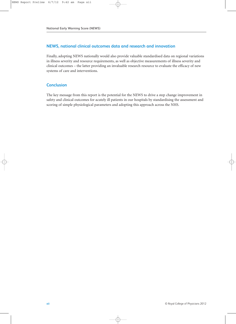### **NEWS, national clinical outcomes data and research and innovation**

Finally, adopting NEWS nationally would also provide valuable standardised data on regional variations in illness severity and resource requirements, as well as objective measurements of illness severity and clinical outcomes – the latter providing an invaluable research resource to evaluate the efficacy of new systems of care and interventions.

### **Conclusion**

The key message from this report is the potential for the NEWS to drive a step change improvement in safety and clinical outcomes for acutely ill patients in our hospitals by standardising the assessment and scoring of simple physiological parameters and adopting this approach across the NHS.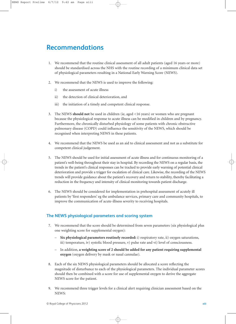# <span id="page-13-0"></span>**Recommendations**

- 1. We recommend that the routine clinical assessment of all adult patients (aged 16 years or more) should be standardised across the NHS with the routine recording of a minimum clinical data set of physiological parameters resulting in a National Early Warning Score (NEWS).
- 2. We recommend that the NEWS is used to improve the following:
	- i) the assessment of acute illness
	- ii) the detection of clinical deterioration, and
	- iii) the initiation of a timely and competent clinical response.
- 3. The NEWS **should not** be used in children (ie, aged <16 years) or women who are pregnant because the physiological response to acute illness can be modified in children and by pregnancy. Furthermore, the chronically disturbed physiology of some patients with chronic obstructive pulmonary disease (COPD) could influence the sensitivity of the NEWS, which should be recognised when interpreting NEWS in these patients.
- 4. We recommend that the NEWS be used as an aid to clinical assessment and not as a substitute for competent clinical judgement.
- 5. The NEWS should be used for initial assessment of acute illness and for continuous monitoring of a patient's well-being throughout their stay in hospital. By recording the NEWS on a regular basis, the trends in the patient's clinical responses can be tracked to provide early warning of potential clinical deterioration and provide a trigger for escalation of clinical care. Likewise, the recording of the NEWS trends will provide guidance about the patient's recovery and return to stability, thereby facilitating a reduction in the frequency and intensity of clinical monitoring towards patient discharge.
- 6. The NEWS should be considered for implementation in prehospital assessment of acutely ill patients by 'first responders' eg the ambulance services, primary care and community hospitals, to improve the communication of acute-illness severity to receiving hospitals.

# **The NEWS physiological parameters and scoring system**

- 7. We recommend that the score should be determined from seven parameters (six physiological plus one weighting score for supplemental oxygen):
	- **Six physiological parameters routinely recorded:** i) respiratory rate, ii) oxygen saturations, iii) temperature, iv) systolic blood pressure, v) pulse rate and vi) level of consciousness.
	- In addition, **a weighting score of 2 should be added for any patient requiring supplemental oxygen** (oxygen delivery by mask or nasal cannulae).
- 8. Each of the six NEWS physiological parameters should be allocated a score reflecting the magnitude of disturbance to each of the physiological parameters. The individual parameter scores should then be combined with a score for use of supplemental oxygen to derive the aggregate NEWS score for the patient.
- 9. We recommend three trigger levels for a clinical alert requiring clinician assessment based on the NEWS: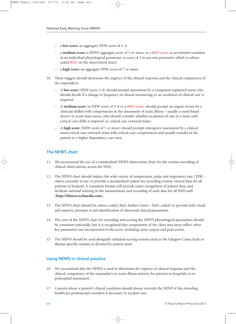- a **low score:** an aggregate NEW score of 1–4
- a **medium score:** a NEWS aggregate score of 5 or more, or a RED score, ie an extreme variation in an individual physiological parameter (a score of 3 in any one parameter which is colourcoded RED on the [observation chart\)](#page-36-0)
- a **high score:** an aggregate NEW score of 7 or more.
- 10. These triggers should determine the urgency of the clinical response and the clinical competency of the responder/s.
	- A **low score** (NEW score 1–4) should prompt assessment by a competent registered nurse who should decide if a change to frequency of clinical monitoring or an escalation of clinical care is required.
	- A **medium score** (ie NEW score of 5–6 or a RED score) should prompt an urgent review by a clinician skilled with competencies in the assessment of acute illness – usually a ward-based doctor or acute team nurse, who should consider whether escalation of care to a team with critical-care skills is required (ie critical care outreach team).
	- A **high score** (NEW score of 7 or more) should prompt emergency assessment by a clinical team/critical care outreach team with critical-care competencies and usually transfer of the patient to a higher dependency care area.

# **The NEWS chart**

- 11. We recommend the use of [a standardised NEWS observation chart f](#page-36-0)or the routine recording of clinical observations, across the NHS.
- 12. The NEWS chart should replace the wide variety of temperature, pulse and respiratory rate (TPR) charts currently in use, to provide a standardised system for recording routine clinical data for all patients in hospital. A consistent format will provide easier recognition of patient data, and facilitate national training in the measurement and recording of such data for all NHS staff (**http://tfinews.ocbmedia.com**).
- 13. The NEWS chart should be colour-coded (Red, Amber, Green RAG coded) to provide both visual and numeric prompts to aid identification of abnormal clinical parameters.
- 14. The core of the NEWS chart for recording and scoring the NEWS physiological parameters should be consistent nationally, but it is recognised that components of the chart area must reflect other key parameters not incorporated in the score, including urine output and pain scores.
- 15. The NEWS should be used alongside validated scoring systems such as the Glasgow Coma Scale or disease-specific systems as dictated by patient need.

# **Using NEWS in clinical practice**

- 16. We recommend that the NEWS is used to determine the urgency of clinical response and the clinical competency of the responder/s to acute-illness severity for patients in hospitals, or in prehospital assessment.
- 17. Concern about a patient's clinical condition should always override the NEWS if the attending healthcare professional considers it necessary to escalate care.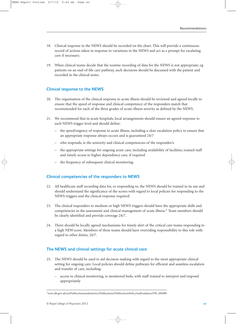- 18. Clinical response to the NEWS should be recorded on the chart. This will provide a continuous record of actions taken in response to variations in the NEWS and act as a prompt for escalating care if necessary.
- 19. When clinical teams decide that the routine recording of data for the NEWS is not appropriate, eg patients on an end-of-life care pathway, such decisions should be discussed with the patient and recorded in the clinical notes.

### **Clinical response to the NEWS**

- 20. The organisation of the clinical response to acute illness should be reviewed and agreed locally to ensure that the speed of response and clinical competency of the responders match that recommended for each of the three grades of acute-illness severity as defined by the NEWS.
- 21. We recommend that in acute hospitals, local arrangements should ensure an agreed response to each NEWS trigger level and should define:
	- the speed/urgency of response to acute illness, including a clear escalation policy to ensure that an appropriate response always occurs and is guaranteed 24/7
	- who responds, ie the seniority and clinical competencies of the responder/s
	- the appropriate settings for ongoing acute care, including availability of facilities, trained staff and timely access to higher dependency care, if required
	- the frequency of subsequent clinical monitoring.

# **Clinical competencies of the responders to NEWS**

- 22. All healthcare staff recording data for, or responding to, the NEWS should be trained in its use and should understand the significance of the scores with regard to local policies for responding to the NEWS triggers and the clinical response required.
- 23. The clinical responders to medium or high NEWS triggers should have the appropriate skills and competencies in the assessment and clinical management of acute illness.\* Team members should be clearly identified and provide coverage 24/7.
- 24. There should be locally agreed mechanisms for timely alert of the critical care teams responding to a high NEWscore. Members of these teams should have overriding responsibility to this role with regard to other duties, 24/7.

# **The NEWS and clinical settings for acute clinical care**

- 25. The NEWS should be used to aid decision-making with regard to the most appropriate clinical setting for ongoing care. Local policies should define pathways for efficient and seamless escalation and transfer of care, including:
	- access to clinical monitoring, ie monitored beds, with staff trained to interpret and respond appropriately

<sup>\*</sup>www.dh.gov.uk/en/Publicationsandstatistics/Publications/PublicationsPolicyAndGuidance/DH\_096989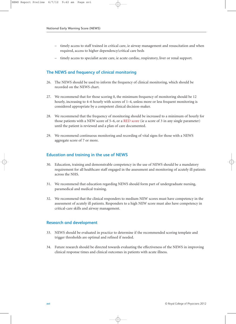- timely access to staff trained in critical care, ie airway management and resuscitation and when required, access to higher dependency/critical care beds
- timely access to specialist acute care, ie acute cardiac, respiratory, liver or renal support.

# **The NEWS and frequency of clinical monitoring**

- 26. The NEWS should be used to inform the frequency of clinical monitoring, which should be recorded on the NEWS chart.
- 27. We recommend that for those scoring 0, the minimum frequency of monitoring should be 12 hourly, increasing to 4–6 hourly with scores of 1–4, unless more or less frequent monitoring is considered appropriate by a competent clinical decision-maker.
- 28. We recommend that the frequency of monitoring should be increased to a minimum of hourly for those patients with a NEW score of 5–6, or a RED score (ie a score of 3 in any single parameter) until the patient is reviewed and a plan of care documented.
- 29. We recommend continuous monitoring and recording of vital signs for those with a NEWS aggregate score of 7 or more.

# **Education and training in the use of NEWS**

- 30. Education, training and demonstrable competency in the use of NEWS should be a mandatory requirement for all healthcare staff engaged in the assessment and monitoring of acutely ill patients across the NHS.
- 31. We recommend that education regarding NEWS should form part of undergraduate nursing, paramedical and medical training.
- 32. We recommend that the clinical responders to medium NEW scores must have competency in the assessment of acutely ill patients. Responders to a high NEW score must also have competency in critical-care skills and airway management.

# **Research and development**

- 33. NEWS should be evaluated in practice to determine if the recommended scoring template and trigger thresholds are optimal and refined if needed.
- 34. Future research should be directed towards evaluating the effectiveness of the NEWS in improving clinical response times and clinical outcomes in patients with acute illness.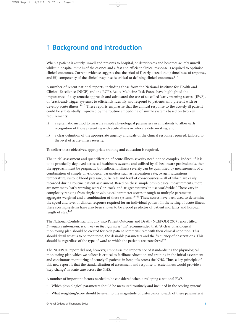# <span id="page-17-0"></span>**1 Background and introduction**

When a patient is acutely unwell and presents to hospital, or deteriorates and becomes acutely unwell whilst in hospital, time is of the essence and a fast and efficient clinical response is required to optimise clinical outcomes. Current evidence suggests that the triad of i) early detection, ii) timeliness of response, and iii) competency of the clinical response, is critical to defining clinical outcomes. $1-7$ 

A number of recent national reports, including those from the National Institute for Health and Clinical Excellence (NICE) and the RCP's Acute Medicine Task Force, have highlighted the importance of a systematic approach and advocated the use of so-called 'early warning scores' (EWS), or 'track-and-trigger systems', to efficiently identify and respond to patients who present with or develop acute illness. $8-10$  These reports emphasise that the clinical response to the acutely ill patient could be substantially improved by the routine embedding of simple systems based on two key requirements:

- i) a systematic method to measure simple physiological parameters in all patients to allow early recognition of those presenting with acute illness or who are deteriorating, and
- ii) a clear definition of the appropriate urgency and scale of the clinical response required, tailored to the level of acute-illness severity.

To deliver these objectives, appropriate training and education is required.

The initial assessment and quantification of acute-illness severity need not be complex. Indeed, if it is to be practically deployed across all healthcare systems and utilised by all healthcare professionals, then the approach must be pragmatic but sufficient. Illness severity can be quantified by measurement of a combination of simple physiological parameters such as respiration rate, oxygen saturations, temperature, systolic blood pressure, pulse rate and level of consciousness – all of which are easily recorded during routine patient assessment. Based on these simple physiological measurements, there are now many 'early warning scores' or 'track-and-trigger systems' in use worldwide.7 These vary in complexity ranging from single physiological parameter scores through to multiple parameter, aggregate-weighted and a combination of these systems.<sup>11–13</sup> These scores have been used to determine the speed and level of clinical response required for an individual patient. In the setting of acute illness, these scoring systems have also been shown to be a good predictor of patient mortality and hospital length of stay. $1-7$ 

The National Confidential Enquiry into Patient Outcome and Death (NCEPOD) 2007 report titled *Emergency admissions: a journey in the right direction?* recommended that: *'*A clear physiological monitoring plan should be created for each patient commensurate with their clinical condition. This should detail what is to be monitored, the desirable parameters and the frequency of observations. This should be regardless of the type of ward to which the patients are transferred.<sup>9</sup>

The NCEPOD report did not, however, emphasise the importance of standardising the physiological monitoring plan which we believe is critical to facilitate education and training in the initial assessment and continuous monitoring of acutely ill patients in hospitals across the NHS. Thus, a key principle of this new report is that the standardisation of assessment and response to acute illness would provide a 'step change' in acute care across the NHS.

A number of important factors needed to be considered when developing a national EWS:

- Which physiological parameters should be measured routinely and included in the scoring system?
- What weighting/score should be given to the magnitude of disturbance to each of these parameters?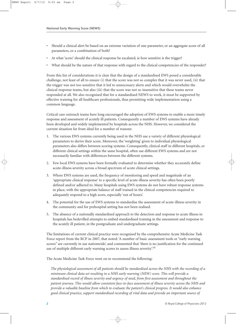- Should a clinical alert be based on an extreme variation of one parameter, or an aggregate score of all parameters, or a combination of both?
- At what 'score' should the clinical response be escalated, ie how sensitive is the trigger?
- What should be the nature of that response with regard to the clinical competencies of the responder?

From this list of considerations it is clear that the design of a standardised EWS posed a considerable challenge, not least of all to ensure (i) that the score was not so complex that it was never used, (ii) that the trigger was not too sensitive that it led to unnecessary alerts and which would overwhelm the clinical response teams, but also (iii) that the score was not so insensitive that these teams never responded at all. We also recognised that for a standardised NEWS to work, it must be supported by effective training for all healthcare professionals, thus permitting wide implementation using a common language.

Critical care outreach teams have long encouraged the adoption of EWS systems to enable a more timely response and assessment of acutely ill patients. Consequently a number of EWS systems have already been developed and widely implemented by hospitals across the NHS. However, we considered the current situation far from ideal for a number of reasons:

- 1. The various EWS systems currently being used in the NHS use a variety of different physiological parameters to derive their score. Moreover, the 'weighting' given to individual physiological parameters also differs between scoring systems. Consequently, clinical staff in different hospitals, or different clinical settings within the same hospital, often use different EWS systems and are not necessarily familiar with differences between the different systems.
- 2. Few local EWS systems have been formally evaluated to determine whether they accurately define acute-illness severity across a broad spectrum of acute clinical settings.
- 3. Where EWS systems are used, the frequency of monitoring and speed and magnitude of an 'appropriate clinical response' to a specific level of acute-illness severity has often been poorly defined and/or adhered to. Many hospitals using EWS systems do not have robust response systems in place, with the appropriate balance of staff trained in the clinical competencies required to adequately respond to a high score, especially 'out of hours'.
- 4. The potential for the use of EWS systems to standardise the assessment of acute-illness severity in the community and for prehospital setting has not been realised.
- 5. The absence of a nationally standardised approach to the detection and response to acute illness in hospitals has bedevilled attempts to embed standardised training in the assessment and response to the acutely ill patient, in the postgraduate and undergraduate settings.

The limitations of current clinical practice were recognised by the comprehensive Acute Medicine Task Force report from the RCP in 2007, that noted: 'A number of basic assessment tools or "early warning scores" are currently in use nationwide', and commented that 'there is no justification for the continued use of multiple different early warning scores to assess illness severity'.10

The Acute Medicine Task Force went on to recommend the following:

*The physiological assessment of all patients should be standardised across the NHS with the recording of a minimum clinical data set resulting in a NHS early warning (NEW) score. This will provide a standardised record of illness severity and urgency of need, from first assessment and throughout the patient journey. This would allow consistent face-to-face assessment of illness severity across the NHS and provide a valuable baseline from which to evaluate the patient's clinical progress. It would also enhance good clinical practice, support standardised recording of vital data and provide an important source of*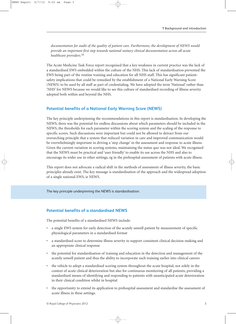*documentation for audit of the quality of patient care. Furthermore, the development of NEWS would provide an important first step towards national unitary clinical documentation across all acute healthcare providers.*<sup>10</sup>

The Acute Medicine Task Force report recognised that a key weakness in current practice was the lack of a standardised EWS embedded within the culture of the NHS. This lack of standardisation prevented the EWS being part of the routine training and education for all NHS staff. This has significant patientsafety implications that could be remedied by the establishment of a National Early Warning Score (NEWS) to be used by all staff as part of credentialing. We have adopted the term 'National' rather than 'NHS' for NEWS because we would like to see this culture of standardised recording of illness severity adopted both within and beyond the NHS.

### **Potential benefits of a National Early Warning Score (NEWS)**

The key principle underpinning the recommendations in this report is standardisation. In developing the NEWS, there was the potential for endless discussions about which parameters should be included in the NEWS, the thresholds for each parameter within the scoring system and the scaling of the response to specific scores. Such discussions were important but could not be allowed to detract from our overarching principle that a system that reduced variation in care and improved communication would be overwhelmingly important in driving a 'step change' in the assessment and response to acute illness. Given the current variation in scoring systems, maintaining the status quo was not ideal. We recognised that the NEWS must be practical and 'user friendly' to enable its use across the NHS and also to encourage its wider use in other settings, eg in the prehospital assessment of patients with acute illness.

This report does not advocate a radical shift in the methods of assessment of illness severity, the basic principles already exist. The key message is standardisation of the approach and the widespread adoption of a single national EWS, ie NEWS.

The key principle underpinning the NEWS is standardisation.

# **Potential benefits of a standardised NEWS**

The potential benefits of a standardised NEWS include:

- a single EWS system for early detection of the acutely unwell patient by measurement of specific physiological parameters in a standardised format
- a standardised score to determine illness severity to support consistent clinical decision-making and an appropriate clinical response
- the potential for standardisation of training and education in the detection and management of the acutely unwell patient and thus the ability to incorporate such training earlier into clinical careers
- the vehicle to adopt a standardised scoring system throughout the acute hospital, not solely in the context of acute clinical deterioration but also for continuous monitoring of all patients, providing a standardised means of identifying and responding to patients with unanticipated acute deterioration in their clinical condition whilst in hospital
- the opportunity to extend its application to prehospital assessment and standardise the assessment of acute illness in these settings.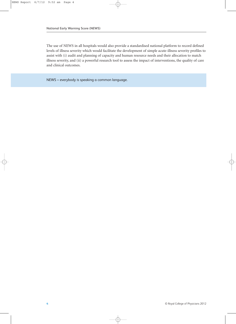The use of NEWS in all hospitals would also provide a standardised national platform to record defined levels of illness severity which would facilitate the development of simple acute-illness severity profiles to assist with (i) audit and planning of capacity and human resource needs and their allocation to match illness severity, and (ii) a powerful research tool to assess the impact of interventions, the quality of care and clinical outcomes.

NEWS – everybody is speaking a common language.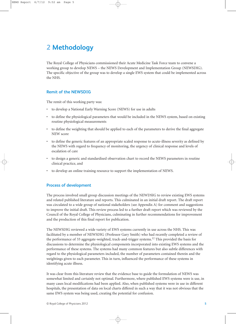# <span id="page-21-0"></span>**2 Methodology**

The Royal College of Physicians commissioned their Acute Medicine Task Force team to convene a working group to develop NEWS – the NEWS Development and Implementation Group (NEWSDIG). The specific objective of the group was to develop a single EWS system that could be implemented across the NHS.

# **Remit of the NEWSDIG**

The remit of this working party was:

- to develop a National Early Warning Score (NEWS) for use in adults
- to define the physiological parameters that would be included in the NEWS system, based on existing routine physiological measurements
- to define the weighting that should be applied to each of the parameters to derive the final aggregate NEW score
- to define the generic features of an appropriate scaled response to acute-illness severity as defined by the NEWS with regard to frequency of monitoring, the urgency of clinical response and levels of escalation of care
- to design a generic and standardised observation chart to record the NEWS parameters in routine clinical practice, and
- to develop an online training resource to support the implementation of NEWS.

# **Process of development**

The process involved small group discussion meetings of the NEWDSIG to review existing EWS systems and related published literature and reports. This culminated in an initial draft report. The draft report was circulated to a wide group of national stakeholders [\(see Appendix A\)](#page-45-1) for comment and suggestions to improve the initial draft. This review process led to a further draft report which was reviewed by the Council of the Royal College of Physicians, culminating in further recommendations for improvement and the production of this final report for publication.

The NEWSDIG reviewed a wide variety of EWS systems currently in use across the NHS. This was facilitated by a member of NEWSDIG (Professor Gary Smith) who had recently completed a review of the performance of 33 aggregate-weighted, track-and-trigger systems.<sup>12</sup> This provided the basis for discussions to determine the physiological components incorporated into existing EWS systems and the performance of these systems. The systems had many common features but also subtle differences with regard to the physiological parameters included, the number of parameters contained therein and the weightings given to each parameter. This in turn, influenced the performance of these systems in identifying acute illness.

It was clear from this literature review that the evidence base to guide the formulation of NEWS was somewhat limited and certainly not optimal. Furthermore, where published EWS systems were is use, in many cases local modifications had been applied. Also, when published systems were in use in different hospitals, the presentation of data on local charts differed in such a way that it was not obvious that the same EWS system was being used, creating the potential for confusion.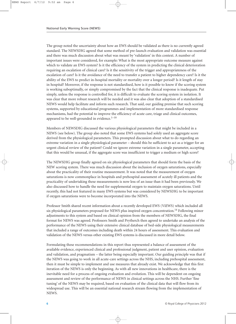The group noted the uncertainty about how an EWS should be validated as there is no currently agreed standard. The NEWSDIG agreed that some method of pre-launch evaluation and validation was essential and there was much discussion about what was meant by 'validation' in this context. A number of important issues were considered, for example: What is the most appropriate outcome measure against which to validate an EWS system? Is it the efficiency of the system in predicting the clinical deterioration requiring an escalation of clinical care? Is it the sensitivity of the trigger and appropriateness of the escalation of care? Is it the avoidance of the need to transfer a patient to higher dependency care? Is it the ability of the EWS to predict in-hospital mortality or mortality over a longer period? Is it length of stay in hospital? Moreover, if the response is not standardised, how is it possible to know if the scoring system is working suboptimally, or simply compromised by the fact that the clinical response is inadequate. Put simply, unless the response is controlled for, it is difficult to evaluate the scoring system in isolation. It was clear that more robust research will be needed and it was also clear that adoption of a standardised NEWS would help facilitate and inform such research. That said, our guiding premise that such scoring systems, supported by educational programmes and implementation of more standardised response mechanisms, had the potential to improve the efficiency of acute care, triage and clinical outcomes, appeared to be well-grounded in evidence. $1-10$ 

Members of NEWSDIG discussed the various physiological parameters that might be included in a NEWS (see below). The group also noted that some EWS systems had solely used an aggregate score derived from the physiological parameters. This prompted discussion about what to do regarding an extreme variation in a single physiological parameter – should this be sufficient to act as a trigger for an urgent clinical review of the patient? Could we ignore extreme variation in a single parameter, accepting that this would be unusual, if the aggregate score was insufficient to trigger a medium or high score?

The NEWSDIG group finally agreed on six physiological parameters that should form the basis of the NEW scoring system. There was much discussion about the inclusion of oxygen saturations, especially about the practicality of their routine measurement. It was noted that the measurement of oxygen saturations is now commonplace in hospitals and prehospital assessment of acutely ill patients and the practicality of undertaking these measurements is now less of an issue than it had been previously. We also discussed how to handle the need for supplemental oxygen to maintain oxygen saturations. Until recently, this had not featured in many EWS systems but was considered by NEWSDIG to be important if oxygen saturations were to become incorporated into the NEWS.

Professor Smith shared recent information about a recently developed EWS (ViEWS) which included all six physiological parameters proposed for NEWS plus inspired oxygen concentration.14 Following minor adjustments to this system and based on clinical opinion from the members of NEWSDIG, the final format for NEWS was agreed. Professors Smith and Prytherch then agreed to undertake an analysis of the performance of the NEWS using their extensive clinical database of bed-side physiological measurements that included a range of outcomes including death within 24 hours of assessment. This evaluation and validation of the NEWS versus other existing EWS systems is discussed in more detail below.

Formulating these recommendations in this report thus represented a balance of assessment of the available evidence, experienced clinical and professional judgment, patient and user opinion, evaluation and validation, and pragmatism – the latter being especially important. Our guiding principle was that if the NEWS was going to work in all acute-care settings across the NHS, including prehospital assessment, then it must be simple to implement and use measures that already exist. We acknowledge that this first iteration of the NEWS is only the beginning. As with all new innovations in healthcare, there is the inevitable need for a process of ongoing evaluation and evolution. This will be dependent on ongoing assessment and review of the performance of NEWS in clinical settings across the NHS. Further 'fine tuning' of the NEWS may be required, based on evaluation of the clinical data that will flow from its widespread use. This will be an essential national research stream flowing from the implementation of NEWS.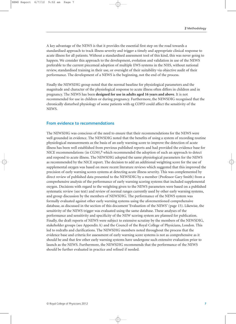A key advantage of the NEWS is that it provides the essential first step on the road towards a standardised approach to track illness severity and trigger a timely and appropriate clinical response to acute illness for all patients. Without a standardised assessment tool of this kind, this was never going to happen. We consider this approach to the development, evolution and validation in use of the NEWS preferable to the current piecemeal adoption of multiple EWS systems in the NHS, without national review, standardised training in their use, or oversight of their suitability via objective audit of their performance. The development of a NEWS is the beginning, not the end of the process.

Finally the NEWSDIG group noted that the normal baseline for physiological parameters and the magnitude and character of the physiological response to acute illness often differs in children and in pregnancy. The NEWS has been **designed for use in adults aged 16 years and above**. It is not recommended for use in children or during pregnancy. Furthermore, the NEWSDIG recognised that the chronically disturbed physiology of some patients with eg COPD could affect the sensitivity of the NEWS.

#### **From evidence to recommendations**

The NEWSDIG was conscious of the need to ensure that their recommendations for the NEWS were well grounded in evidence. The NEWSDIG noted that the benefits of using a system of recording routine physiological measurements as the basis of an early warning score to improve the detection of acute illness has been well established from previous published reports and had provided the evidence base for NICE recommendations (in CG50), $8$  which recommended the adoption of such an approach to detect and respond to acute illness. The NEWSDIG adopted the same physiological parameters for the NEWS as recommended by the NICE report. The decision to add an additional weighting score for the use of supplemental oxygen was based on more recent literature reviews which suggested that this improved the precision of early warning scores systems at detecting acute illness severity. This was complemented by direct review of published data presented to the NEWSDIG by a member (Professor Gary Smith) from a comprehensive analysis of the performance of early warning scoring systems that included supplemental oxygen. Decisions with regard to the weighting given to the NEWS parameters were based on a published systematic review (see text) and review of normal ranges currently used by other early warning systems, and group discussion by the members of NEWSDIG. The performance of the NEWS system was formally evaluated against other early warning systems using the aforementioned comprehensive database, as discussed in the section of this document '[Evaluation of the NEWS' \(page 15\).](#page-31-0) Likewise, the sensitivity of the NEWS trigger was evaluated using the same database. These analyses of the performance and sensitivity and specificity of the NEW scoring system are planned for publication. Finally, the draft reports of NEWS were subject to extensive scrutiny by the members of the NEWSDIG, stakeholder groups [\(see Appendix A\)](#page-45-1) and the Council of the Royal College of Physicians, London. This led to redrafts and clarifications. The NEWSDIG members noted throughout the process that the evidence base and criteria for assessment of early warning score systems is not as comprehensive as it should be and that few other early warning systems have undergone such extensive evaluation prior to launch as the NEWS. Furthermore, the NEWSDIG recommends that the performance of the NEWS should be further evaluated in practice and refined if needed.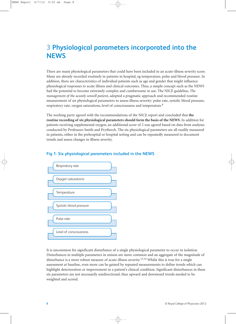# <span id="page-24-0"></span>**3 Physiological parameters incorporated into the NEWS**

There are many physiological parameters that could have been included in an acute-illness severity score. Many are already recorded routinely in patients in hospital, eg temperature, pulse and blood pressure. In addition, there are characteristics of individual patients such as age and gender that might influence physiological responses to acute illness and clinical outcomes. Thus, a simple concept such as the NEWS had the potential to become extremely complex and cumbersome in use. The NICE guideline, *The management of the acutely unwell patient*, adopted a pragmatic approach and recommended routine measurement of six physiological parameters to assess illness severity: pulse rate, systolic blood pressure, respiratory rate, oxygen saturations, level of consciousness and temperature.<sup>8</sup>

The working party agreed with the recommendations of the NICE report and concluded that **the routine recording of six physiological parameters should form the basis of the NEWS**. In addition for patients receiving supplemental oxygen, an additional score of 2 was agreed based on data from analyses conducted by Professors Smith and Prytherch. The six physiological parameters are all readily measured in patients, either in the prehospital or hospital setting and can be repeatedly measured to document trends and assess changes in illness severity.



# **Fig 1: Six physiological parameters included in the NEWS**

It is uncommon for significant disturbance of a single physiological parameter to occur in isolation. Disturbances in multiple parameters in unison are more common and an aggregate of the magnitude of disturbance is a more robust measure of acute-illness severity.<sup>12,14</sup> Whilst this is true for a single assessment at baseline, even more can be gained by repeated measurements to define trends which can highlight deterioration or improvement in a patient's clinical condition. Significant disturbances in these six parameters are not necessarily unidirectional, thus upward and downward trends needed to be weighted and scored.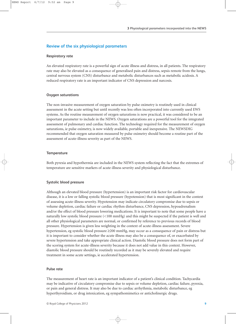#### **Review of the six physiological parameters**

#### **Respiratory rate**

An elevated respiratory rate is a powerful sign of acute illness and distress, in all patients. The respiratory rate may also be elevated as a consequence of generalised pain and distress, sepsis remote from the lungs, central nervous system (CNS) disturbance and metabolic disturbances such as metabolic acidosis. A reduced respiratory rate is an important indicator of CNS depression and narcosis.

#### **Oxygen saturations**

The non-invasive measurement of oxygen saturation by pulse oximetry is routinely used in clinical assessment in the acute setting but until recently was less often incorporated into currently used EWS systems. As the routine measurement of oxygen saturations is now practical, it was considered to be an important parameter to include in the NEWS. Oxygen saturations are a powerful tool for the integrated assessment of pulmonary and cardiac function. The technology required for the measurement of oxygen saturations, ie pulse oximetry, is now widely available, portable and inexpensive. The NEWSDIG recommended that oxygen saturation measured by pulse oximetry should become a routine part of the assessment of acute-illness severity as part of the NEWS.

#### **Temperature**

Both pyrexia and hypothermia are included in the NEWS system reflecting the fact that the extremes of temperature are sensitive markers of acute-illness severity and physiological disturbance.

#### **Systolic blood pressure**

Although an elevated blood pressure (hypertension) is an important risk factor for cardiovascular disease, it is a low or falling systolic blood pressure (hypotension) that is most significant in the context of assessing acute-illness severity. Hypotension may indicate circulatory compromise due to sepsis or volume depletion, cardiac failure or cardiac rhythm disturbance, CNS depression, hypoadrenalism and/or the effect of blood pressure lowering medications. It is important to note that some people have a naturally low systolic blood pressure (<100 mmHg) and this might be suspected if the patient is well and all other physiological parameters are normal, or confirmed by reference to previous records of blood pressure. Hypertension is given less weighting in the context of acute-illness assessment. Severe hypertension, eg systolic blood pressure ≥200 mmHg, may occur as a consequence of pain or distress but it is important to consider whether the acute illness may also be a consequence of, or exacerbated by severe hypertension and take appropriate clinical action. Diastolic blood pressure does not form part of the scoring system for acute-illness severity because it does not add value in this context. However, diastolic blood pressure should be routinely recorded as it may be severely elevated and require treatment in some acute settings, ie accelerated hypertension.

#### **Pulse rate**

The measurement of heart rate is an important indicator of a patient's clinical condition. Tachycardia may be indicative of circulatory compromise due to sepsis or volume depletion, cardiac failure, pyrexia, or pain and general distress. It may also be due to cardiac arrhythmia, metabolic disturbance, eg hyperthyroidism, or drug intoxication, eg sympathomimetics or anticholinergic drugs.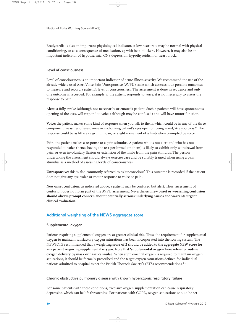Bradycardia is also an important physiological indicator. A low heart rate may be normal with physical conditioning, or as a consequence of medication, eg with beta-blockers. However, it may also be an important indicator of hypothermia, CNS depression, hypothyroidism or heart block.

#### **Level of consciousness**

Level of consciousness is an important indicator of acute-illness severity. We recommend the use of the already widely used Alert Voice Pain Unresponsive (AVPU) scale which assesses four possible outcomes to measure and record a patient's level of consciousness. The assessment is done in sequence and only one outcome is recorded. For example, if the patient responds to voice, it is not necessary to assess the response to pain.

**Alert:** a fully awake (although not necessarily orientated) patient. Such a patients will have spontaneous opening of the eyes, will respond to voice (although may be confused) and will have motor function.

**Voice:** the patient makes some kind of response when you talk to them, which could be in any of the three component measures of eyes, voice or motor – eg patient's eyes open on being asked, 'Are you okay?'. The response could be as little as a grunt, moan, or slight movement of a limb when prompted by voice.

**Pain:** the patient makes a response to a pain stimulus. A patient who is not alert and who has not responded to voice (hence having the test performed on them) is likely to exhibit only withdrawal from pain, or even involuntary flexion or extension of the limbs from the pain stimulus. The person undertaking the assessment should always exercise care and be suitably trained when using a pain stimulus as a method of assessing levels of consciousness.

**Unresponsive:** this is also commonly referred to as 'unconscious'. This outcome is recorded if the patient does not give any eye, voice or motor response to voice or pain.

**New onset confusion:** as indicated above, a patient may be confused but alert. Thus, assessment of confusion does not form part of the AVPU assessment. Nevertheless, **new onset or worsening confusion should always prompt concern about potentially serious underlying causes and warrants urgent clinical evaluation.**

# **Additional weighting of the NEWS aggregate score**

#### **Supplemental oxygen**

Patients requiring supplemental oxygen are at greater clinical risk. Thus, the requirement for supplemental oxygen to maintain satisfactory oxygen saturations has been incorporated into the scoring system. The NEWSDIG recommended that **a weighting score of 2 should be added to the aggregate NEW score for any patient requiring supplemental oxygen.** Note that **'supplemental oxygen' here refers to routine oxygen delivery by mask or nasal cannulae.** When supplemental oxygen is required to maintain oxygen saturations, it should be formally prescribed and the target oxygen saturations defined for individual patients admitted to hospital as per the British Thoracic Society's (BTS) recommendations.<sup>14</sup>

#### **Chronic obstructive pulmonary disease with known hypercapnic respiratory failure**

For some patients with these conditions, excessive oxygen supplementation can cause respiratory depression which can be life threatening. For patients with COPD, oxygen saturations should be set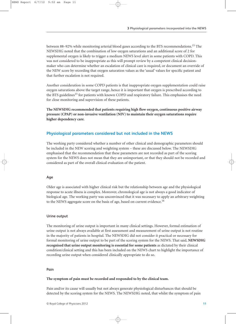between 88-92% while monitoring arterial blood gases according to the BTS recommendations.<sup>15</sup> The NEWSDIG noted that the combination of low oxygen saturations and an additional score of 2 for supplemental oxygen is likely to trigger a medium NEWS level alert in some patients with COPD. This was not considered to be inappropriate as this will prompt review by a competent clinical decisionmaker who can determine whether an escalation of clinical care is required, or document an override of the NEW score by recording that oxygen saturation values as the 'usual' values for specific patient and that further escalation is not required.

Another consideration in some COPD patients is that inappropriate oxygen supplementation could raise oxygen saturations above the target range, hence it is important that oxygen is prescribed according to the BTS guidelines<sup>15</sup> for patients with known COPD and respiratory failure. This emphasises the need for close monitoring and supervision of these patients.

**The NEWSDIG recommended that patients requiring high flow oxygen, continuous positive airway pressure (CPAP) or non-invasive ventilation (NIV) to maintain their oxygen saturations require higher dependency care**.

# **Physiological parameters considered but not included in the NEWS**

The working party considered whether a number of other clinical and demographic parameters should be included in the NEW scoring and weighting system – these are discussed below. The NEWSDIG emphasised that the recommendation that these parameters are not recorded as part of the scoring system for the NEWS does not mean that they are unimportant, or that they should not be recorded and considered as part of the overall clinical evaluation of the patient.

#### **Age**

Older age is associated with higher clinical risk but the relationship between age and the physiological response to acute illness is complex. Moreover, chronological age is not always a good indicator of biological age. The working party was unconvinced that it was necessary to apply an arbitrary weighting to the NEWS aggregate score on the basis of age, based on current evidence.<sup>16</sup>

#### **Urine output**

The monitoring of urine output is important in many clinical settings. However, formal estimation of urine output is not always available at first assessment and measurement of urine output is not routine in the majority of patients in hospital. The NEWSDIG did not consider it practical or necessary for formal monitoring of urine output to be part of the scoring system for the NEWS. That said, **NEWSDIG recognised that urine output monitoring is essential for some patients** as dictated by their clinical condition/clinical setting and this has been included on the NEWS chart to highlight the importance of recording urine output when considered clinically appropriate to do so.

#### **Pain**

#### **The symptom of pain must be recorded and responded to by the clinical team.**

Pain and/or its cause will usually but not always generate physiological disturbances that should be detected by the scoring system for the NEWS. The NEWSDIG noted, that whilst the symptom of pain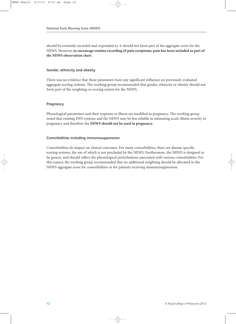should be routinely recorded and responded to, it should not form part of the aggregate score for the NEWS. However, **to encourage routine recording of pain symptoms, pain has been included as part of the NEWS observation chart.**

#### **Gender, ethnicity and obesity**

There was no evidence that these parameters have any significant influence on previously evaluated aggregate scoring systems. The working group recommended that gender, ethnicity or obesity should not form part of the weighting or scoring system for the NEWS.

#### **Pregnancy**

Physiological parameters and their response to illness are modified in pregnancy. The working group noted that existing EWS systems and the NEWS may be less reliable in estimating acute-illness severity in pregnancy and therefore the **NEWS should not be used in pregnancy.**

#### **Comorbidities including immunosuppression**

Comorbidities do impact on clinical outcomes. For many comorbidities, there are disease-specific scoring systems, the use of which is not precluded by the NEWS. Furthermore, the NEWS is designed to be generic and should reflect the physiological perturbations associated with various comorbidities. For this reason, the working group recommended that no additional weighting should be allocated to the NEWS aggregate score for comorbidities or for patients receiving immunosuppression.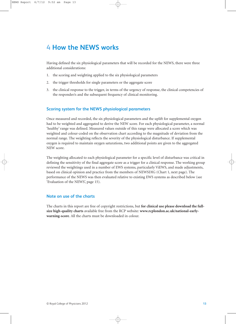# <span id="page-29-0"></span>**4 How the NEWS works**

Having defined the six physiological parameters that will be recorded for the NEWS, there were three additional considerations:

- 1. the scoring and weighting applied to the six physiological parameters
- 2. the trigger thresholds for single parameters or the aggregate score
- 3. the clinical response to the trigger, in terms of the urgency of response, the clinical competencies of the responder/s and the subsequent frequency of clinical monitoring.

### **Scoring system for the NEWS physiological parameters**

Once measured and recorded, the six physiological parameters and the uplift for supplemental oxygen had to be weighted and aggregated to derive the NEW score. For each physiological parameter, a normal 'healthy' range was defined. Measured values outside of this range were allocated a score which was weighted and colour-coded on the observation chart according to the magnitude of deviation from the normal range. The weighting reflects the severity of the physiological disturbance. If supplemental oxygen is required to maintain oxygen saturations, two additional points are given to the aggregated NEW score.

The weighting allocated to each physiological parameter for a specific level of disturbance was critical in defining the sensitivity of the final aggregate score as a trigger for a clinical response. The working group reviewed the weightings used in a number of EWS systems, particularly ViEWS, and made adjustments, based on clinical opinion and practice from the members of NEWSDIG ([Chart 1, next page\)](#page-30-0). The performance of the NEWS was then evaluated relative to existing EWS systems as described below (see 'Evaluation of the NEWS', page 15).

#### **Note on use of the charts**

The charts in this report are free of copyright restrictions, but **for clinical use please download the fullsize high-quality charts** available free from the RCP website: **www.rcplondon.ac.uk/national-earlywarning-score**. All the charts must be downloaded in colour.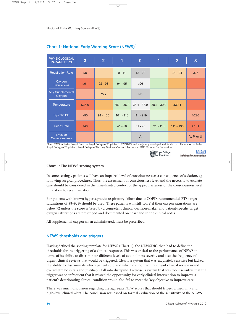| <b>PHYSIOLOGICAL</b><br><b>PARAMETERS</b> | $\overline{\mathbf{3}}$ | $\overline{2}$ | $\overline{1}$ | $\bf{0}$       | $\overline{\mathbf{1}}$ | $\overline{2}$ | $\overline{\mathbf{3}}$ |
|-------------------------------------------|-------------------------|----------------|----------------|----------------|-------------------------|----------------|-------------------------|
| <b>Respiration Rate</b>                   | $\leq 8$                |                | $9 - 11$       | $12 - 20$      |                         | $21 - 24$      | $\geq$ 25               |
| Oxygen<br><b>Saturations</b>              | ≤91                     | $92 - 93$      | $94 - 95$      | ≥96            |                         |                |                         |
| Any Supplemental<br>Oxygen                |                         | <b>Yes</b>     |                | <b>No</b>      |                         |                |                         |
| Temperature                               | $\leq$ 35.0             |                | $35.1 - 36.0$  | $36.1 - 38.0$  | $38.1 - 39.0$           | ≥39.1          |                         |
| <b>Systolic BP</b>                        | $≤90$                   | $91 - 100$     | $101 - 110$    | $111 - 219$    |                         |                | $\geq$ 220              |
| <b>Heart Rate</b>                         | $\leq 40$               |                | $41 - 50$      | $51 - 90$      | $91 - 110$              | $111 - 130$    | ≥131                    |
| Level of<br><b>Consciousness</b>          |                         |                |                | $\overline{A}$ |                         |                | V, P, or $U$            |

# <span id="page-30-0"></span>**Chart 1: National Early Warning Score (NEWS)\***

The NEWS initiative flowed from the Royal College of Physicians' NEWSDIG, and was jointly developed and funded in collaboration with the Royal College of Physicians, Royal College of Nursing, National Outreach Forum and NHS Training for Innovation.



**NHS** Training for Innovation

# **Chart 1: The NEWS scoring system**

In some settings, patients will have an impaired level of consciousness as a consequence of sedation, eg following surgical procedures. Thus, the assessment of consciousness level and the necessity to escalate care should be considered in the time-limited context of the appropriateness of the consciousness level in relation to recent sedation.

For patients with known hypercapnoeic respiratory failure due to COPD, recommended BTS target saturations of 88–92% should be used. These patients will still 'score' if their oxygen saturations are below 92 unless the score is 'reset' by a competent clinical decision-maker and patient-specific target oxygen saturations are prescribed and documented on chart and in the clinical notes.

All supplemental oxygen when administered, must be prescribed.

# **NEWS thresholds and triggers**

Having defined the scoring template for NEWS (Chart 1), the NEWSDIG then had to define the thresholds for the triggering of a clinical response. This was critical to the performance of NEWS in terms of its ability to discriminate different levels of acute-illness severity and also the frequency of urgent clinical reviews that would be triggered. Clearly a system that was exquisitely sensitive but lacked the ability to discriminate which patients did and which did not require urgent clinical review would overwhelm hospitals and justifiably fall into disrepute. Likewise, a system that was too insensitive that the trigger was so infrequent that it missed the opportunity for early clinical intervention to improve a patient's deteriorating clinical condition would also fail to meet the key objective to improve care.

There was much discussion regarding the aggregate NEW scores that should trigger a medium- and high-level clinical alert. The conclusion was based on formal evaluation of the sensitivity of the NEWS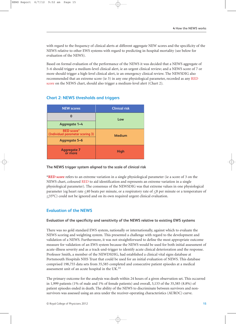<span id="page-31-0"></span>with regard to the frequency of clinical alerts at different aggregate NEW scores and the specificity of the NEWS relative to other EWS systems with regard to predicting in-hospital mortality (see below for evaluation of the NEWS).

Based on formal evaluation of the performance of the NEWS it was decided that a NEWS aggregate of 5–6 should trigger a medium-level clinical alert, ie an urgent clinical review; and a NEWS score of 7 or more should trigger a high-level clinical alert, ie an emergency clinical review. The NEWSDIG also recommended that an extreme score (ie 3) in any one physiological parameter, recorded as any RED score on the NEWS chart, should also trigger a medium-level alert (Chart 2).

| <b>NEW scores</b>                                     | <b>Clinical risk</b> |  |
|-------------------------------------------------------|----------------------|--|
|                                                       | Low                  |  |
| Aggregate 1-4                                         |                      |  |
| <b>RED</b> score*<br>(Individual parameter scoring 3) | <b>Medium</b>        |  |
| <b>Aggregate 5-6</b>                                  |                      |  |
| <b>Aggregate 7</b><br>or more                         | <b>High</b>          |  |

# **Chart 2: NEWS thresholds and triggers**

#### **The NEWS trigger system aligned to the scale of clinical risk**

**\*RED score** refers to an extreme variation in a single physiological parameter (ie a score of 3 on the NEWS chart, coloured RED to aid identification and represents an extreme variation in a single physiological parameter). The consensus of the NEWSDIG was that extreme values in one physiological parameter (eg heart rate  $\leq 40$  beats per minute, or a respiratory rate of  $\leq 8$  per minute or a temperature of  $\leq$ 35°C) could not be ignored and on its own required urgent clinical evaluation.

# **Evaluation of the NEWS**

#### **Evaluation of the specificity and sensitivity of the NEWS relative to existing EWS systems**

There was no gold standard EWS system, nationally or internationally, against which to evaluate the NEWS scoring and weighting system. This presented a challenge with regard to the development and validation of a NEWS. Furthermore, it was not straightforward to define the most appropriate outcome measure for validation of an EWS system because the NEWS would be used for both initial assessment of acute-illness severity and as a track-and-trigger to identify acute clinical deterioration and the response. Professor Smith, a member of the NEWDSDIG, had established a clinical vital signs database at Portsmouth Hospitals NHS Trust that could be used for an initial evaluation of NEWS. This database comprised 198,755 data sets from 35,585 completed and consecutive patient episodes at a medical assessment unit of an acute hospital in the UK.14

The primary outcome for the analysis was death within 24 hours of a given observation set. This occurred in 1,999 patients (1% of male and 1% of female patients) and overall, 3,133 of the 35,585 (8.8%) of patient episodes ended in death. The ability of the NEWS to discriminate between survivors and nonsurvivors was assessed using an area under the receiver-operating characteristics (AUROC) curve.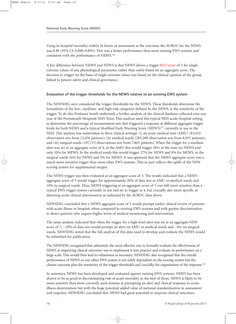Using in-hospital mortality within 24 hours of assessment as the outcome, the AUROC for the NEWS was 0.89 (95% CI: 0.880–0.895). This was a better performance than most existing EWS systems and consistent with the performance of ViEWS.14

A key difference between ViEWS and NEWS is that NEWS allows a trigger RED score of 3 for single extreme values of any physiological parameter, rather than solely based on an aggregate score. The decision to trigger on the basis of single extreme values was based on the clinical opinion of the group linked to patient safety and clinical governance.

#### **Evaluation of the trigger thresholds for the NEWS relative to an existing EWS system**

The NEWSDIG next considered the trigger thresholds for the NEWS. These thresholds determine the boundaries of the low-, medium- and high-risk categories defined by the NEWS, ie the sensitivity of the trigger. To do this Professor Smith undertook a further analysis of the clinical database collected over one year at the Portsmouth Hospitals NHS Trust. This analysis used this typical NHS acute-hospital setting to determine the percentage of measurement sets that triggered a response at different aggregate trigger levels for both NEWS and a typical Modified Early Warning Score (MEWS)<sup>17</sup> currently in use in the NHS. This analysis was undertaken in three clinical settings: (i) an acute medical unit (AMU) (81,010 observation sets from 12,476 patients), (ii) medical wards (283,288 observation sets from 8,937 patients), and (iii) surgical wards (197,715 observations sets from 7,801 patients). When the trigger for a medium alert was set at an aggregate score of 4, in the AMU this would trigger 28% of the time for NEWS and only 10% for MEWS. In the medical wards this would trigger 27% for NEWS and 8% for MEWS, in the surgical wards 16% for NEWS and 3% for MEWS. It was apparent that the NEWS aggregate score was a much more sensitive trigger than most other EWS systems. This in part reflects the uplift of the NEW scoring system for supplemental oxygen.

The NEWS trigger was then evaluated at an aggregate score of 5. The results indicated that a NEWS aggregate score of 5 would trigger for approximately 20% of data sets in AMU or medical wards and 10% in surgical wards. Thus, NEWS triggering at an aggregate score of 5 was still more sensitive than a typical EWS trigger system currently in use and set to trigger at 4, but crucially also more specific at detecting acute clinical deterioration as indicated by the AUROC data above.

NEWSDIG concluded that a NEWS aggregate score of 5 would prompt earlier clinical review of patients with acute illness in hospital, when compared to existing EWS systems and with greater discrimination to detect patients who require higher levels of medical monitoring and intervention.

The same analysis indicated that when the trigger for a high-level alert was set at an aggregate NEW score of 7,  $\sim$ 10% of data sets would prompt an alert on AMU or medical wards and  $\sim$ 4% on surgical wards. NEWSDIG noted that the full analysis of this data used to develop and evaluate the NEWS would be submitted for publication.

The NEWSDIG recognised that ultimately, the most effective way to formally evaluate the effectiveness of NEWS at improving clinical outcomes was to implement it into practice and evaluate its performance on a large scale. This would then lead to refinement as necessary. NEWSDIG also recognised that the overall performance of NEWS or any other EWS system is not solely dependent on the scoring system but the chosen outcome plus the sensitivity of the trigger thresholds and crucially, the organisation of the response.<sup>11</sup>

In summary, NEWS has been developed and evaluated against existing EWS systems. NEWS has been shown to be as good at discriminating risk of acute mortality as the best of them. NEWS is likely to be more sensitive than most currently used systems at prompting an alert and clinical response to acuteillness deterioration but with the huge potential added value of national standardisation in assessment and response. NEWSDIG concluded that NEWS had great potential to improve clinical outcomes.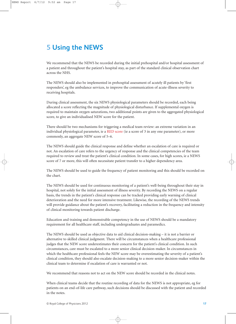# <span id="page-33-0"></span>**5 Using the NEWS**

We recommend that the NEWS be recorded during the initial prehospital and/or hospital assessment of a patient and throughout the patient's hospital stay, as part of the standard clinical observation chart across the NHS.

The NEWS should also be implemented in prehospital assessment of acutely ill patients by 'first responders', eg the ambulance services, to improve the communication of acute-illness severity to receiving hospitals.

During clinical assessment, the six NEWS physiological parameters should be recorded, each being allocated a score reflecting the magnitude of physiological disturbance. If supplemental oxygen is required to maintain oxygen saturations, two additional points are given to the aggregated physiological score, to give an individualised NEW score for the patient.

There should be two mechanisms for triggering a medical team review: an extreme variation in an individual physiological parameter, ie a RED score (ie a score of 3 in any one parameter), or more commonly, an aggregate NEW score of 5–6.

The NEWS should guide the clinical response and define whether an escalation of care is required or not. An escalation of care refers to the urgency of response and the clinical competencies of the team required to review and treat the patient's clinical condition. In some cases, for high scores, ie a NEWS score of 7 or more, this will often necessitate patient transfer to a higher dependency area.

The NEWS should be used to guide the frequency of patient monitoring and this should be recorded on the chart.

The NEWS should be used for continuous monitoring of a patient's well-being throughout their stay in hospital, not solely for the initial assessment of illness severity. By recording the NEWS on a regular basis, the trends in the patient's clinical response can be tracked providing early warning of clinical deterioration and the need for more intensive treatment. Likewise, the recording of the NEWS trends will provide guidance about the patient's recovery, facilitating a reduction in the frequency and intensity of clinical monitoring towards patient discharge.

Education and training and demonstrable competency in the use of NEWS should be a mandatory requirement for all healthcare staff, including undergraduates and paramedics.

The NEWS should be used as objective data to aid clinical decision-making – it is not a barrier or alternative to skilled clinical judgment. There will be circumstances when a healthcare professional judges that the NEW score underestimates their concern for the patient's clinical condition. In such circumstances, care must be escalated to a more senior clinical decision-maker. In circumstances in which the healthcare professional feels the NEW score may be overestimating the severity of a patient's clinical condition, they should also escalate decision-making to a more senior decision-maker within the clinical team to determine if escalation of care is warranted or not.

We recommend that reasons not to act on the NEW score should be recorded in the clinical notes.

When clinical teams decide that the routine recording of data for the NEWS is not appropriate, eg for patients on an end-of-life care pathway, such decisions should be discussed with the patient and recorded in the notes.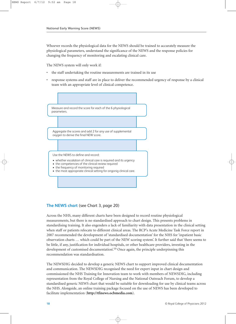Whoever records the physiological data for the NEWS should be trained to accurately measure the physiological parameters, understand the significance of the NEWS and the response policies for changing the frequency of monitoring and escalating clinical care.

The NEWS system will only work if:

- the staff undertaking the routine measurements are trained in its use
- response systems and staff are in place to deliver the recommended urgency of response by a clinical team with an appropriate level of clinical competence.



# **The NEWS chart** ([see Chart 3, page 20\)](#page-36-0)

Across the NHS, many different charts have been designed to record routine physiological measurements, but there is no standardised approach to chart design. This presents problems in standardising training. It also engenders a lack of familiarity with data presentation in the clinical setting when staff or patients relocate to different clinical areas. The RCP's Acute Medicine Task Force report in 2007 recommended the development of 'standardised documentation' for the NHS for 'inpatient basic observation charts … which could be part of the NEW scoring system'. It further said that 'there seems to be little, if any, justification for individual hospitals, or other healthcare providers, investing in the development of customised documentation'.<sup>10</sup> Once again, the principle underpinning this recommendation was standardisation.

The NEWSDIG decided to develop a generic NEWS chart to support improved clinical documentation and communication. The NEWSDIG recognised the need for expert input in chart design and commissioned the NHS Training for Innovation team to work with members of NEWSDIG, including representation from the Royal College of Nursing and the National Outreach Forum, to develop a standardised generic NEWS chart that would be suitable for downloading for use by clinical teams across the NHS. Alongside, an online training package focused on the use of NEWS has been developed to facilitate implementation (**http://tfinews.ocbmedia.com**).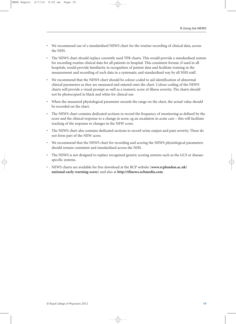- We recommend use of a standardised NEWS chart for the routine recording of clinical data, across the NHS.
- The NEWS chart should replace currently used TPR charts. This would provide a standardised system for recording routine clinical data for all patients in hospital. This consistent format, if used in all hospitals, would provide familiarity in recognition of patient data and facilitate training in the measurement and recording of such data in a systematic and standardised way by all NHS staff.
- We recommend that the NEWS chart should be colour-coded to aid identification of abnormal clinical parameters as they are measured and entered onto the chart. Colour-coding of the NEWS charts will provide a visual prompt as well as a numeric score of illness severity. The charts should not be photocopied in black and white for clinical use.
- When the measured physiological parameter exceeds the range on the chart, the actual value should be recorded on the chart.
- The NEWS chart contains dedicated sections to record the frequency of monitoring as defined by the score and the clinical response to a change in score, eg an escalation in acute care – this will facilitate tracking of the response to changes in the NEW score.
- The NEWS chart also contains dedicated sections to record urine output and pain severity. These do not form part of the NEW score.
- We recommend that the NEWS chart for recording and scoring the NEWS physiological parameters should remain consistent and standardised across the NHS.
- The NEWS is not designed to replace recognised generic scoring systems such as the GCS or diseasespecific systems.
- NEWS charts are available for free download at the RCP website (**www.rcplondon.ac.uk/ national-early-warning-score**) and also at **http://tfinews.ocbmedia.com**.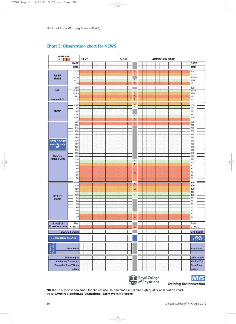# <span id="page-36-0"></span>**Chart 3: Observation chart for NEWS O**



**All Royal College**<br>Royal College

**Training for Innovation** 

**NOTE**: This chart is too small for clinical use. To download a full-size high-quality observation chart, go to **www.rcplondon.ac.uk/national-early-warning-score**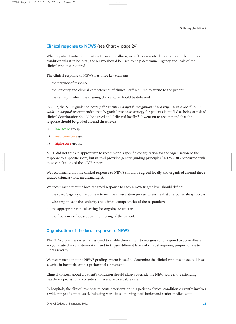# **Clinical response to NEWS** [\(see Chart 4, page 24\)](#page-40-0)

When a patient initially presents with an acute illness, or suffers an acute deterioration in their clinical condition whilst in hospital, the NEWS should be used to help determine urgency and scale of the clinical response required.

The clinical response to NEWS has three key elements:

- the urgency of response
- the seniority and clinical competencies of clinical staff required to attend to the patient
- the setting in which the ongoing clinical care should be delivered.

In 2007, the NICE guideline *Acutely ill patients in hospital: recognition of and response to acute illness in adults in hospital* recommended that, 'A graded response strategy for patients identified as being at risk of clinical deterioration should be agreed and delivered locally'.8 It went on to recommend that the response should be graded around three levels:

- i) **low-score** group
- ii) **medium-score** group
- ii) **high-score** group.

NICE did not think it appropriate to recommend a specific configuration for the organisation of the response to a specific score, but instead provided generic guiding principles.<sup>8</sup> NEWSDIG concurred with these conclusions of the NICE report.

We recommend that the clinical response to NEWS should be agreed locally and organised around **three graded triggers (low, medium, high)**.

We recommend that the locally agreed response to each NEWS trigger level should define:

- the speed/urgency of response to include an escalation process to ensure that a response always occurs
- who responds, ie the seniority and clinical competencies of the responder/s
- the appropriate clinical setting for ongoing acute care
- the frequency of subsequent monitoring of the patient.

# **Organisation of the local response to NEWS**

The NEWS grading system is designed to enable clinical staff to recognise and respond to acute illness and/or acute clinical deterioration and to trigger different levels of clinical response, proportionate to illness severity.

We recommend that the NEWS grading system is used to determine the clinical response to acute-illness severity in hospitals, or in a prehospital assessment.

Clinical concern about a patient's condition should always override the NEW score if the attending healthcare professional considers it necessary to escalate care.

In hospitals, the clinical response to acute deterioration in a patient's clinical condition currently involves a wide range of clinical staff, including ward-based nursing staff, junior and senior medical staff,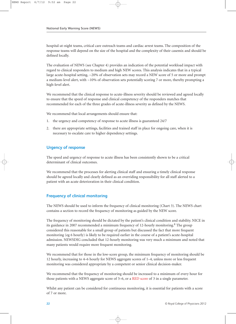hospital-at-night teams, critical care outreach teams and cardiac arrest teams. The composition of the response teams will depend on the size of the hospital and the complexity of their casemix and should be defined locally.

The evaluation of NEWS (see Chapter 4) provides an indication of the potential workload impact with regard to clinical responders to medium and high NEW scores. This analysis indicates that in a typical large acute-hospital setting, ~20% of observation sets may record a NEW score of 5 or more and prompt a medium-level alert, with ~10% of observation sets potentially scoring 7 or more, thereby prompting a high-level alert.

We recommend that the clinical response to acute-illness severity should be reviewed and agreed locally to ensure that the speed of response and clinical competency of the responders matches that recommended for each of the three grades of acute-illness severity as defined by the NEWS.

We recommend that local arrangements should ensure that:

- 1. the urgency and competency of response to acute illness is guaranteed 24/7
- 2. there are appropriate settings, facilities and trained staff in place for ongoing care, when it is necessary to escalate care to higher dependency settings.

# **Urgency of response**

The speed and urgency of response to acute illness has been consistently shown to be a critical determinant of clinical outcomes.

We recommend that the processes for alerting clinical staff and ensuring a timely clinical response should be agreed locally and clearly defined as an overriding responsibility for all staff alerted to a patient with an acute deterioration in their clinical condition.

# **Frequency of clinical monitoring**

The NEWS should be used to inform the frequency of clinical monitoring [\(Chart 3\).](#page-36-0) The NEWS chart contains a section to record the frequency of monitoring as guided by the NEW score.

The frequency of monitoring should be dictated by the patient's clinical condition and stability. NICE in its guidance in 2007 recommended a minimum frequency of 12-hourly monitoring.<sup>8</sup> The group considered this reasonable for a small group of patients but discussed the fact that more frequent monitoring (eg 6 hourly) is likely to be required earlier in the course of a patient's acute-hospital admission. NEWSDIG concluded that 12-hourly monitoring was very much a minimum and noted that many patients would require more frequent monitoring.

We recommend that for those in the low-score group, the minimum frequency of monitoring should be 12 hourly, increasing to 4–6 hourly for NEWS aggregate scores of 1–4, unless more or less frequent monitoring was considered appropriate by a competent or senior clinical decision-maker.

We recommend that the frequency of monitoring should be increased to a minimum of every hour for those patients with a NEWS aggregate score of 5–6, or a RED score of 3 in a single parameter.

Whilst any patient can be considered for continuous monitoring, it is essential for patients with a score of 7 or more.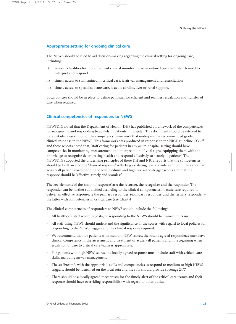# **Appropriate setting for ongoing clinical care**

The NEWS should be used to aid decision-making regarding the clinical setting for ongoing care, including:

- i) access to facilities for more frequent clinical monitoring, ie monitored beds with staff trained to interpret and respond
- ii) timely access to staff trained in critical care, ie airway management and resuscitation
- iii) timely access to specialist acute care, ie acute cardiac, liver or renal support.

Local policies should be in place to define pathways for efficient and seamless escalation and transfer of care when required.

# **Clinical competencies of responders to NEWS**

NEWSDIG noted that the Department of Health (DH) has published a framework of the competencies for recognising and responding to acutely ill patients in hospital. This document should be referred to for a detailed description of the competency framework that underpins the recommended graded clinical response to the NEWS. This framework was produced in response to the NICE guideline  $CG50<sup>8</sup>$ and these reports noted that, 'staff caring for patients in any acute-hospital setting should have competencies in monitoring, measurement and interpretation of vital signs, equipping them with the knowledge to recognise deteriorating health and respond effectively to acutely ill patients'. The NEWSDIG supported the underlying principles of these DH and NICE reports that the competencies should be built around the 'chain of response' reflecting escalating levels of intervention in the care of an acutely ill patient, corresponding to low, medium and high track-and-trigger scores and that the response should be 'effective, timely and seamless'.

The key elements of the 'chain of response' are: the recorder, the recogniser and the responder. The responder can be further subdivided according to the clinical competencies in acute care required to deliver an effective response, ie the primary responder, secondary responder, and the tertiary responder – the latter with competencies in critical care [\(see Chart 4\).](#page-40-0)

The clinical competencies of responders to NEWS should include the following:

- All healthcare staff recording data, or responding to the NEWS should be trained in its use.
- All staff using NEWS should understand the significance of the scores with regard to local policies for responding to the NEWS triggers and the clinical response required.
- We recommend that for patients with medium NEW scores, the locally agreed responder/s must have clinical competency in the assessment and treatment of acutely ill patients and in recognising when escalation of care to critical care teams is appropriate.
- For patients with high NEW scores, the locally agreed response must include staff with critical-care skills, including airway management.
- The staff/team/s with the appropriate skills and competencies to respond to medium or high NEWS triggers, should be identified on the local rota and the rota should provide coverage 24/7.
- There should be a locally agreed mechanism for the timely alert of the critical care team/s and their response should have overriding responsibility with regard to other duties.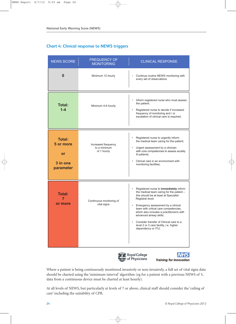# <span id="page-40-0"></span>**Chart 4: Clinical response to NEWS triggers**

| <b>NEWS SCORE</b>                                         | <b>FREQUENCY OF</b><br><b>MONITORING</b>           | <b>CLINICAL RESPONSE</b>                                                                                                                                                                                                                                                                                                                                                                                                                                   |  |  |  |
|-----------------------------------------------------------|----------------------------------------------------|------------------------------------------------------------------------------------------------------------------------------------------------------------------------------------------------------------------------------------------------------------------------------------------------------------------------------------------------------------------------------------------------------------------------------------------------------------|--|--|--|
| $\bf{0}$                                                  | Minimum 12 hourly                                  | Continue routine NEWS monitoring with<br>every set of observations                                                                                                                                                                                                                                                                                                                                                                                         |  |  |  |
| <b>Total:</b><br>$1 - 4$                                  | Minimum 4-6 hourly                                 | $\bullet$<br>Inform registered nurse who must assess<br>the patient;<br>$\bullet$<br>Registered nurse to decide if increased<br>frequency of monitoring and / or<br>escalation of clinical care is required;                                                                                                                                                                                                                                               |  |  |  |
| <b>Total:</b><br>5 or more<br>or<br>3 in one<br>parameter | Increased frequency<br>to a minimum<br>of 1 hourly | Registered nurse to urgently inform<br>$\bullet$<br>the medical team caring for the patient;<br>Urgent assessment by a clinician<br>$\bullet$<br>with core competencies to assess acutely<br>ill patients;<br>Clinical care in an environment with<br>$\bullet$<br>monitoring facilities;                                                                                                                                                                  |  |  |  |
| <b>Total:</b><br>7<br>or more                             | Continuous monitoring of<br>vital signs            | Registered nurse to immediately inform<br>$\bullet$<br>the medical team caring for the patient -<br>this should be at least at Specialist<br>Registrar level;<br>Emergency assessment by a clinical<br>$\bullet$<br>team with critical care competencies,<br>which also includes a practitioner/s with<br>advanced airway skills;<br>Consider transfer of Clinical care to a<br>$\bullet$<br>level 2 or 3 care facility, i.e. higher<br>dependency or ITU; |  |  |  |





Where a patient is being continuously monitored invasively or non-invasively, a full set of vital signs data should be charted using the 'minimum interval' algorithm (eg for a patient with a previous NEWS of 5, data from a continuous device must be charted at least hourly).

At all levels of NEWS, but particularly at levels of 7 or above, clinical staff should consider the 'ceiling of care' including the suitability of CPR.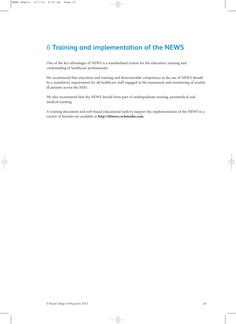# <span id="page-41-0"></span>**6 Training and implementation of the NEWS**

One of the key advantages of NEWS is a standardised system for the education, training and credentialing of healthcare professionals.

We recommend that education and training and demonstrable competency in the use of NEWS should be a mandatory requirement for all healthcare staff engaged in the assessment and monitoring of acutely ill patients across the NHS.

We also recommend that the NEWS should form part of undergraduate nursing, paramedical and medical training.

A training document and web-based educational tools to support the implementation of the NEWS in a variety of formats are available at **http://tfinews.ocbmedia.com**.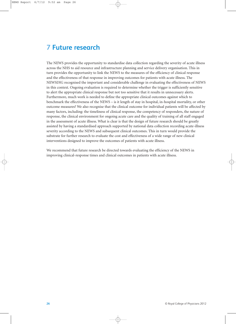# <span id="page-42-0"></span>**7 Future research**

The NEWS provides the opportunity to standardise data collection regarding the severity of acute illness across the NHS to aid resource and infrastructure planning and service delivery organisation. This in turn provides the opportunity to link the NEWS to the measures of the efficiency of clinical response and the effectiveness of that response in improving outcomes for patients with acute illness. The NEWSDIG recognised the important and considerable challenge in evaluating the effectiveness of NEWS in this context. Ongoing evaluation is required to determine whether the trigger is sufficiently sensitive to alert the appropriate clinical response but not too sensitive that it results in unnecessary alerts. Furthermore, much work is needed to define the appropriate clinical outcomes against which to benchmark the effectiveness of the NEWS – is it length of stay in hospital, in-hospital mortality, or other outcome measures? We also recognise that the clinical outcome for individual patients will be affected by many factors, including: the timeliness of clinical response, the competency of responders, the nature of response, the clinical environment for ongoing acute care and the quality of training of all staff engaged in the assessment of acute illness. What is clear is that the design of future research should be greatly assisted by having a standardised approach supported by national data collection recording acute-illness severity according to the NEWS and subsequent clinical outcomes. This in turn would provide the substrate for further research to evaluate the cost and effectiveness of a wide range of new clinical interventions designed to improve the outcomes of patients with acute illness.

We recommend that future research be directed towards evaluating the efficiency of the NEWS in improving clinical-response times and clinical outcomes in patients with acute illness.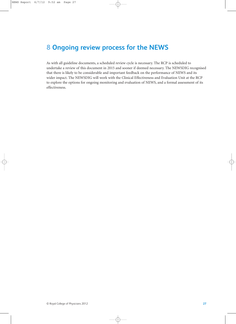# <span id="page-43-0"></span>**8 Ongoing review process for the NEWS**

As with all guideline documents, a scheduled review cycle is necessary. The RCP is scheduled to undertake a review of this document in 2015 and sooner if deemed necessary. The NEWSDIG recognised that there is likely to be considerable and important feedback on the performance of NEWS and its wider impact. The NEWSDIG will work with the Clinical Effectiveness and Evaluation Unit at the RCP to explore the options for ongoing monitoring and evaluation of NEWS, and a formal assessment of its effectiveness.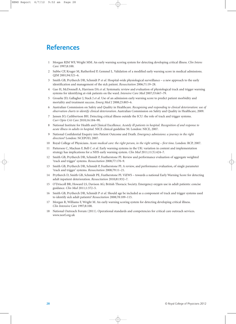# <span id="page-44-0"></span>**References**

- 1 Morgan RJM WF, Wright MM. An early warning scoring system for detecting developing critical illness. *Clin Intens Care* 1997;8:100.
- 2 Subbe CP, Kruger M, Rutherford P, Gemmel L. Validation of a modified early warning score in medical admissions. *QJM* 2001;94:521–6.
- 3 Smith GB, Prytherch DR, Schmidt P *et al*. Hospital-wide physiological surveillance a new approach to the early identification and management of the sick patient. *Resuscitation* 2006;71:19–28.
- 4 Gao H, McDonnell A, Harrison DA *et al*. Systematic review and evaluation of physiological track and trigger warning systems for identifying at-risk patients on the ward. *Intensive Care Med* 2007;33:667–79.
- 5 Groarke JD, Gallagher J, Stack J *et al*. Use of an admission early warning score to predict patient morbidity and mortality and treatment success. *Emerg Med J* 2008;25:803–6.
- 6 Australian Commission on Safety and Quality in Healthcare. *Recognising and responding to clinical deterioration: use of observation charts to identify clinical deterioration*. Australian Commission on Safety and Quality in Healthcare, 2009.
- 7 Jansen JO, Cuthbertson BH. Detecting critical illness outside the ICU: the role of track and trigger systems. *Curr Opin Crit Care* 2010;16:184–90.
- 8 National Institute for Health and Clinical Excellence. *Acutely ill patients in hospital. Recognition of and response to acute illness in adults in hospital*. NICE clinical guideline 50. London: NICE, 2007.
- 9 National Confidential Enquiry into Patient Outcome and Death. *Emergency admissions: a journey in the right direction?* London: NCEPOD, 2007.
- 10 Royal College of Physicians. *Acute medical care: the right person, in the right setting first time*. London: RCP, 2007.
- 11 Patterson C, Maclean F, Bell C *et al*. Early warning systems in the UK: variation in content and implementation strategy has implications for a NHS early warning system. *Clin Med* 2011;11(5):424–7.
- 12 Smith GB, Prytherch DR, Schmidt P, Featherstone PI. Review and performance evaluation of aggregate weighted 'track and trigger' systems. *Resuscitation* 2008;77:170–9.
- 13 Smith GB, Prytherch DR, Schmidt P, Featherstone PI. A review, and performance evaluation, of single parameter 'track and trigger' systems. *Resuscitation* 2008;79:11–21.
- 14 Prytherch D, Smith GB, Schmidt PE, Featherstone PI. ViEWS towards a national Early Warning Score for detecting adult inpatient deterioration. *Resuscitation* 2010;81:932–7.
- 15 O'Driscoll BR, Howard LS, Davison AG; British Thoracic Society. Emergency oxygen use in adult patients: concise guidance. *Clin Med* 2011;1:372–5.
- 16 Smith GB, Prytherch DR, Schmidt P *et al*. Should age be included as a component of track and trigger systems used to identify sick adult patients? *Resuscitation* 2008;78:109–115.
- 17 Morgan R, Williams F, Wright M. An early warning scoring system for detecting developing critical illness. *Clin Intensive Care* 1997;8:100.
- 18 National Outreach Forum (2011). Operational standards and competencies for critical care outreach services. www.norf.org.uk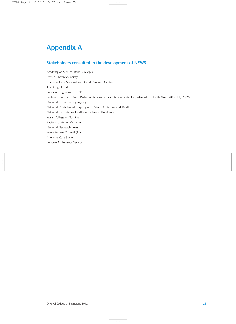# <span id="page-45-1"></span><span id="page-45-0"></span>**Appendix A**

# **Stakeholders consulted in the development of NEWS**

Academy of Medical Royal Colleges British Thoracic Society Intensive Care National Audit and Research Centre The King's Fund London Programme for IT Professor the Lord Darzi, Parliamentary under secretary of state, Department of Health (June 2007–July 2009) National Patient Safety Agency National Confidential Enquiry into Patient Outcome and Death National Institute for Health and Clinical Excellence Royal College of Nursing Society for Acute Medicine National Outreach Forum Resuscitation Council (UK) Intensive Care Society London Ambulance Service